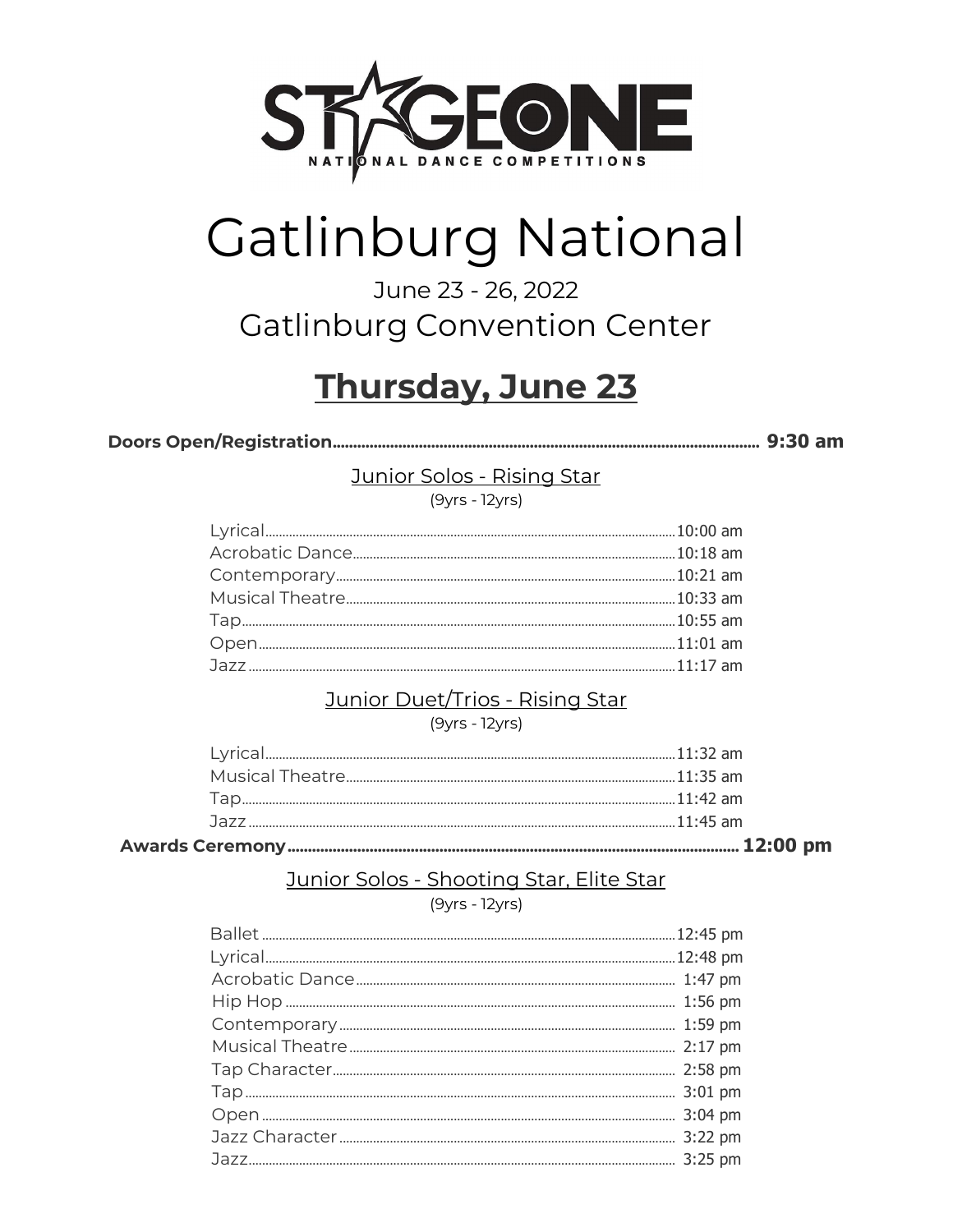

# **Gatlinburg National**

### June 23 - 26, 2022 **Gatlinburg Convention Center**

# Thursday, June 23

Junior Solos - Rising Star

 $(9yrs - 12yrs)$ 

#### Junior Duet/Trios - Rising Star

 $(9yrs - 12yrs)$ 

### Junior Solos - Shooting Star, Elite Star

(9yrs - 12yrs)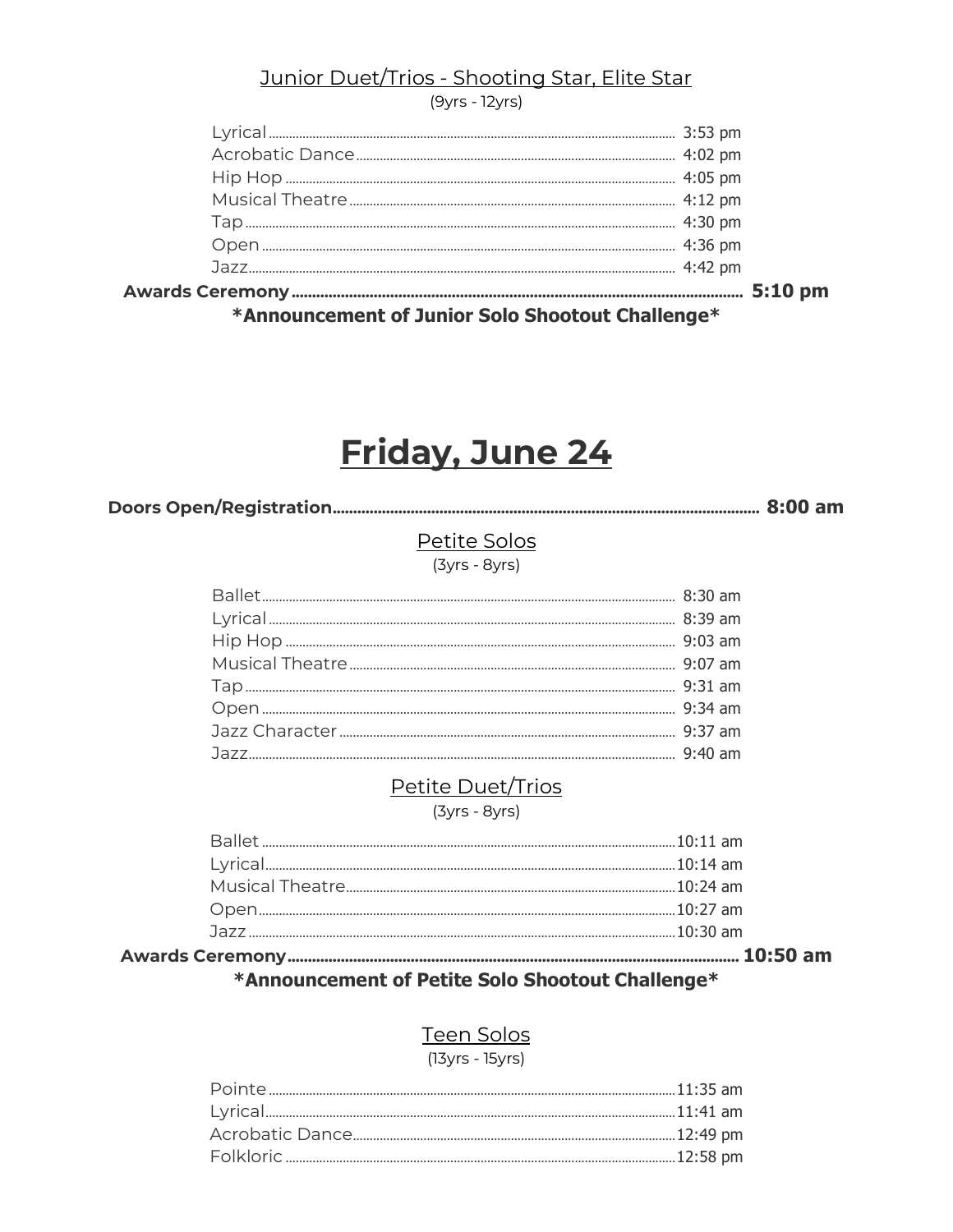#### Junior Duet/Trios - Shooting Star, Elite Star

 $(9yrs - 12yrs)$ 

| *Announcement of Junior Solo Shootout Challenge* |  |  |  |
|--------------------------------------------------|--|--|--|
|                                                  |  |  |  |
|                                                  |  |  |  |
|                                                  |  |  |  |
|                                                  |  |  |  |
|                                                  |  |  |  |
|                                                  |  |  |  |
|                                                  |  |  |  |
|                                                  |  |  |  |

# Friday, June 24

Petite Solos

 $(3yrs - 8yrs)$ 

#### Petite Duet/Trios

 $(3yrs - 8yrs)$ 

| $\mathbf{r} = \mathbf{r} + \mathbf{r} + \mathbf{r} + \mathbf{r} + \mathbf{r} + \mathbf{r} + \mathbf{r} + \mathbf{r} + \mathbf{r} + \mathbf{r} + \mathbf{r} + \mathbf{r} + \mathbf{r} + \mathbf{r} + \mathbf{r} + \mathbf{r} + \mathbf{r} + \mathbf{r} + \mathbf{r} + \mathbf{r} + \mathbf{r} + \mathbf{r} + \mathbf{r} + \mathbf{r} + \mathbf{r} + \mathbf{r} + \mathbf{r} + \mathbf{r} + \mathbf{r} + \mathbf{r} + \mathbf$ |  |
|------------------------------------------------------------------------------------------------------------------------------------------------------------------------------------------------------------------------------------------------------------------------------------------------------------------------------------------------------------------------------------------------------------------------------|--|
|                                                                                                                                                                                                                                                                                                                                                                                                                              |  |
|                                                                                                                                                                                                                                                                                                                                                                                                                              |  |
|                                                                                                                                                                                                                                                                                                                                                                                                                              |  |
|                                                                                                                                                                                                                                                                                                                                                                                                                              |  |
|                                                                                                                                                                                                                                                                                                                                                                                                                              |  |
|                                                                                                                                                                                                                                                                                                                                                                                                                              |  |

#### \*Announcement of Petite Solo Shootout Challenge\*

#### **Teen Solos**

(13yrs - 15yrs)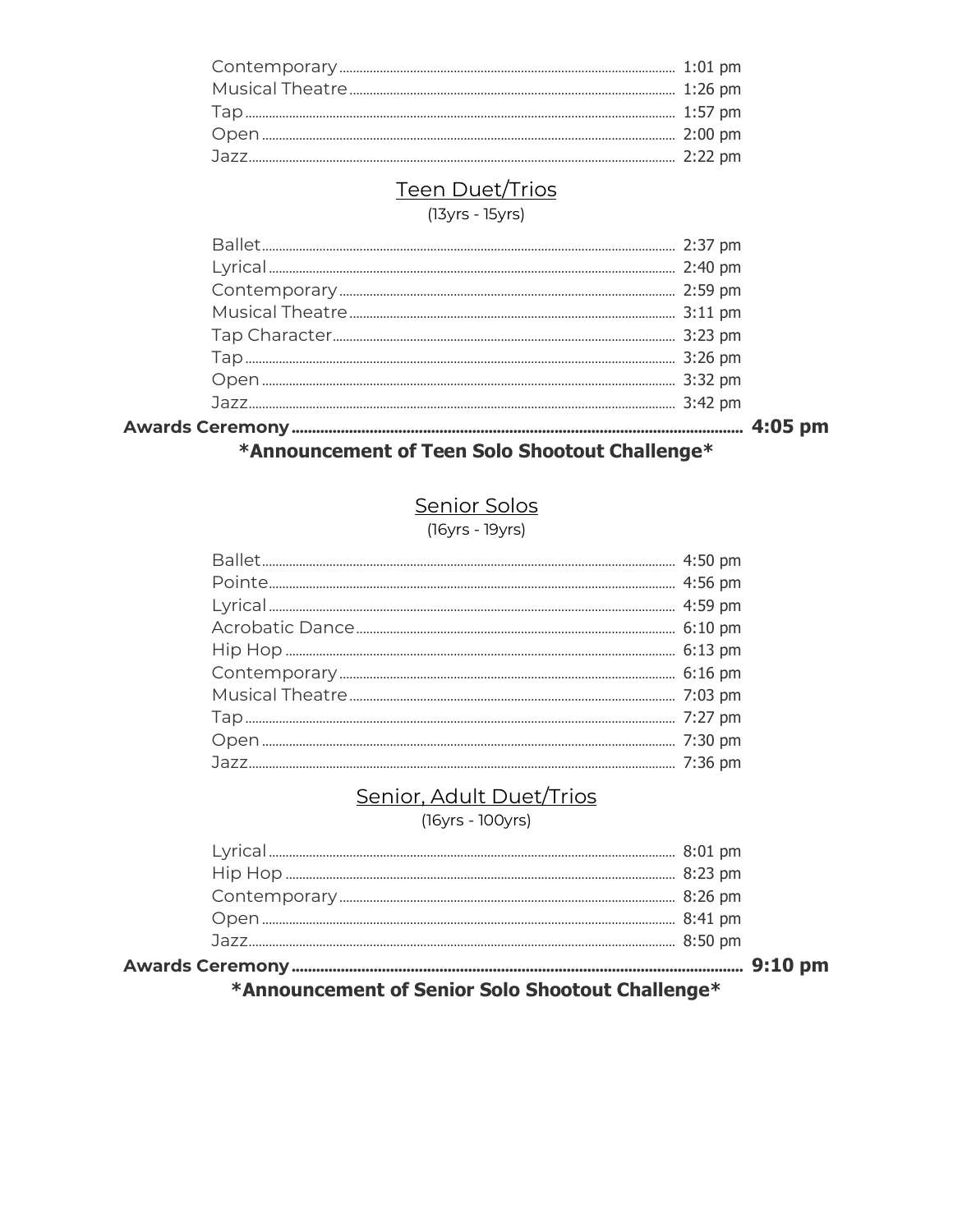#### Teen Duet/Trios

 $(13yrs - 15yrs)$ 

### \*Announcement of Teen Solo Shootout Challenge\*

#### Senior Solos

(16yrs - 19yrs)

#### Senior, Adult Duet/Trios

(16yrs - 100yrs)

| the contract of the contract of the contract of the contract of the contract of the contract of the contract of |  |
|-----------------------------------------------------------------------------------------------------------------|--|
|                                                                                                                 |  |
|                                                                                                                 |  |
|                                                                                                                 |  |
|                                                                                                                 |  |
|                                                                                                                 |  |
|                                                                                                                 |  |
|                                                                                                                 |  |

\*Announcement of Senior Solo Shootout Challenge\*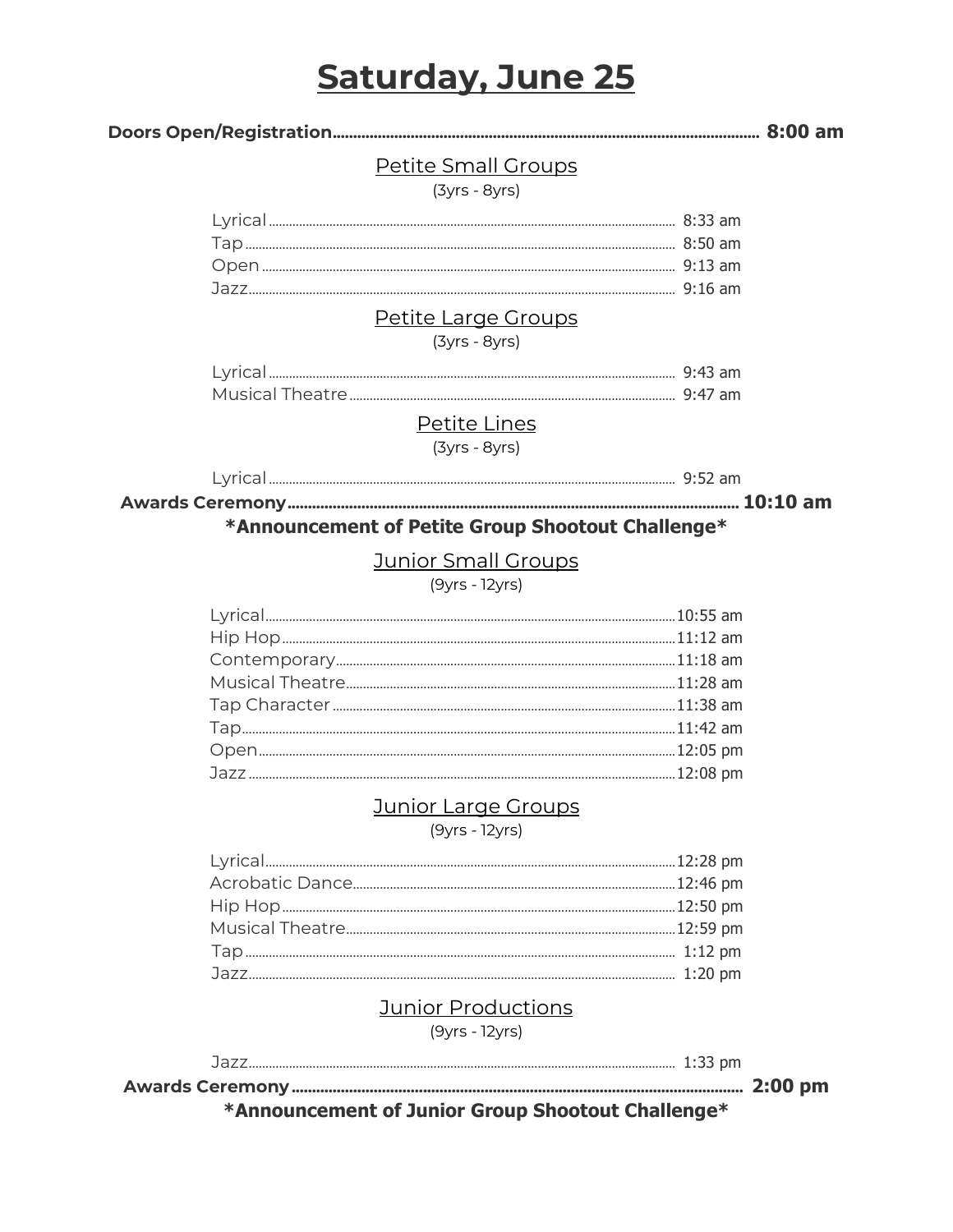### **Saturday, June 25**

#### 

#### Petite Small Groups

(3yrs - 8yrs)

#### Petite Large Groups

 $(3yrs - 8yrs)$ 

#### Petite Lines

 $(3vrs - 8vrs)$ 

#### \*Announcement of Petite Group Shootout Challenge\*

#### **Junior Small Groups**

 $(9yrs - 12yrs)$ 

#### Junior Large Groups

 $(9yrs - 12yrs)$ 

#### Junior Productions

 $(9yrs - 12yrs)$ 

\*Announcement of Junior Group Shootout Challenge\*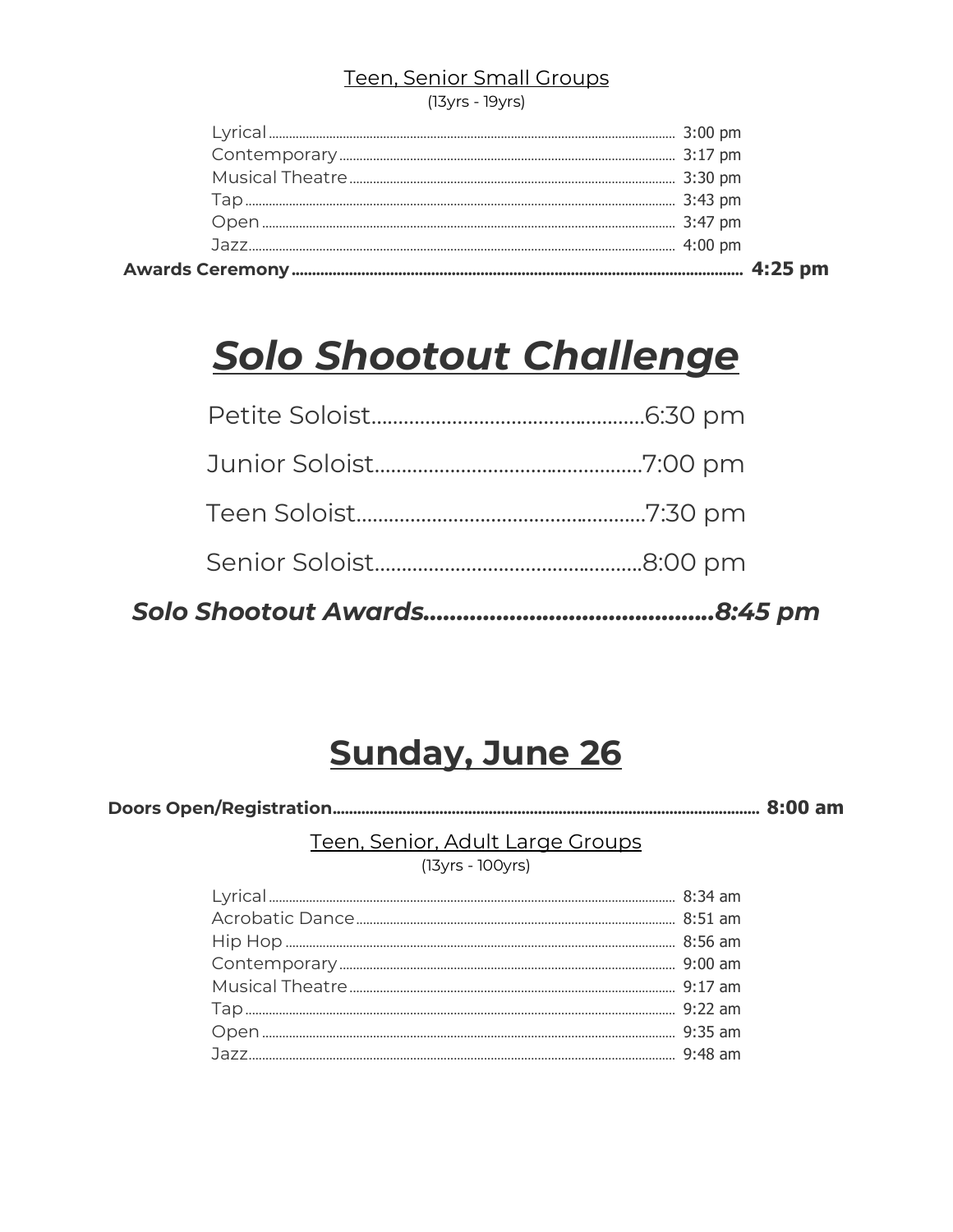### Teen, Senior Small Groups

(13yrs - 19yrs)

|  | $4:25$ pm |
|--|-----------|
|  |           |
|  |           |
|  |           |
|  |           |
|  |           |
|  |           |

# <u>Solo Shootout Challenge</u>

## **Sunday, June 26**

Teen, Senior, Adult Large Groups

 $(13yrs - 100yrs)$